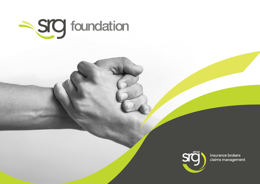



insurance brokers claims management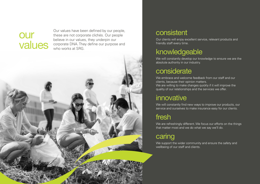# **our**

**Values** corporate DNA. They define our purpose and who works at SRG. Our values have been defined by our people, these are not corporate clichés. Our people believe in our values, they underpin our who works at SRG.



### consistent

Our clients will enjoy excellent service, relevant products and friendly staff every time.

# knowledgeable

We will constantly develop our knowledge to ensure we are the absolute authority in our industry.

# considerate

We embrace and welcome feedback from our staff and our clients, because their opinion matters. We are willing to make changes quickly if it will improve the quality of our relationships and the services we offer.

# innovative

We will constantly find new ways to improve our products, our service and ourselves to make insurance easy for our clients.

We are refreshingly different. We focus our efforts on the things that matter most and we do what we say we'll do.

## caring

We support the wider community and ensure the safety and wellbeing of our staff and clients.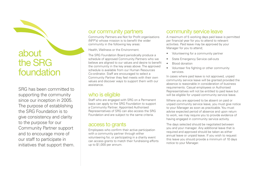# about the SRG foundation

SRG has been committed to supporting the community since our inception in 2005. The purpose of establishing the SRG Foundation is to give consistency and clarity to the purpose for our Community Partner support and to encourage more of our staff to participate in initiatives that support them.

### our community partners

Community Partners are Not for Profit organisations (NFP's) whose mission is to benefit the wider community in the following key areas:

Health, Wellness or the Environment.

The SRG Foundation Board periodically produce a schedule of approved Community Partners who we believe are aligned to our values and desire to benefit the community in the key areas above. The approved schedule is available from our Human Resources Co-ordinator. Staff are encouraged to select a Community Partner they feel meets with their own values and discover ways to support them with our assistance.

### who is eligible

Staff who are engaged with SRG on a Permanent basis can apply to the SRG Foundation to support a Community Partner. Appointed Authorised Representatives of SRG can also access the SRG Foundation and are subject to the same criteria.

### access to grants

Employees who confirm their active participation with a community partner through either volunteering for, or participating in a charity event can access grants to match their fundraising efforts up to \$1,000 per annum.

### community service leave

A maximum of 5 working days paid leave is permitted per financial year for you to attend to relevant activities. Paid leave may be approved by your Manager for you to attend;

- Volunteering for a community partner
- State Emergency Service call-outs
- Blood donation
- Volunteer fire fighting or other community services.

In cases where paid leave is not approved, unpaid community service leave will be granted provided the absence is reasonable in consideration of business requirements. Casual employees or Authorised Representatives will not be entitled to paid leave but will be eligible for unpaid community service leave.

Where you are approved to be absent on paid or unpaid community service leave, you must give notice to your Manager as soon as practicable. You must advise expected period of absence and upon return to work, we may require you to provide evidence of having engaged in community service activity.

The days selected should be negotiated between you and your manager. Any additional leave that is required and approved should be taken as either annual leave or unpaid leave. If you wish to request this leave you should provide a minimum of 10 days notice to your Manager.